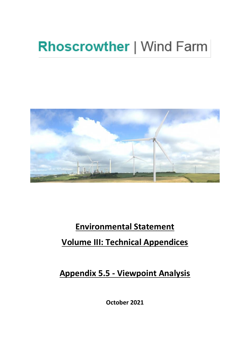# **Rhoscrowther | Wind Farm**



# **Environmental Statement Volume III: Technical Appendices**

**Appendix 5.5 - Viewpoint Analysis** 

**October 2021**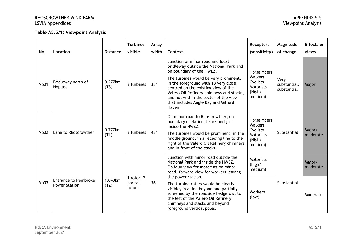#### **Table A5.5/1: Viewpoint Analysis**

| <b>No</b> | Location                                            | <b>Distance</b>                                    | <b>Turbines</b><br>visible | <b>Array</b><br>width                                                                                                                                                                                                          | Context                                                                                                                                                                                                                                                                                                                                                                | <b>Receptors</b><br>(sensitivity)                                            | Magnitude<br>of change              | Effects on<br>views |
|-----------|-----------------------------------------------------|----------------------------------------------------|----------------------------|--------------------------------------------------------------------------------------------------------------------------------------------------------------------------------------------------------------------------------|------------------------------------------------------------------------------------------------------------------------------------------------------------------------------------------------------------------------------------------------------------------------------------------------------------------------------------------------------------------------|------------------------------------------------------------------------------|-------------------------------------|---------------------|
| Vp01      | Bridleway north of<br>Hoplass                       | 0.277km<br>(T3)                                    | 3 turbines                 | 38°                                                                                                                                                                                                                            | Junction of minor road and local<br>bridleway outside the National Park and<br>on boundary of the HWEZ.<br>The turbines would be very prominent,<br>in the foreground with T3 very close,<br>centred on the existing view of the<br>Valero Oil Refinery chimneys and stacks,<br>and not within the sector of the view<br>that includes Angle Bay and Milford<br>Haven. | Horse riders<br>Walkers<br>Cyclists<br>Motorists<br>(High/<br>medium)        | Very<br>substantial/<br>substantial | Major               |
| Vp02      | Lane to Rhoscrowther                                | 0.777km<br>(T1)                                    | 3 turbines                 | 43°                                                                                                                                                                                                                            | On minor road to Rhoscrowther, on<br>boundary of National Park and just<br>inside the HWEZ.<br>The turbines would be prominent, in the<br>middle ground, in a receding line to the<br>right of the Valero Oil Refinery chimneys<br>and in front of the stacks.                                                                                                         | Horse riders<br><b>Walkers</b><br>Cyclists<br>Motorists<br>(High/<br>medium) | Substantial                         | Major/<br>moderate+ |
|           |                                                     |                                                    |                            |                                                                                                                                                                                                                                | Junction with minor road outside the<br>National Park and inside the HWEZ.<br>Oblique view for motorists on minor<br>road, forward view for workers leaving<br>the power station.                                                                                                                                                                                      | <b>Motorists</b><br>(high/<br>medium)                                        |                                     | Major/<br>moderate+ |
| Vp03      | <b>Entrance to Pembroke</b><br><b>Power Station</b> | 1 rotor, 2<br>1.040km<br>partial<br>(T2)<br>rotors | 36°                        | The turbine rotors would be clearly<br>visible, in a line beyond and partially<br>screened by the roadside hedgerow, to<br>the left of the Valero Oil Refinery<br>chimneys and stacks and beyond<br>foreground vertical poles. | Workers<br>(low)                                                                                                                                                                                                                                                                                                                                                       | Substantial                                                                  | Moderate                            |                     |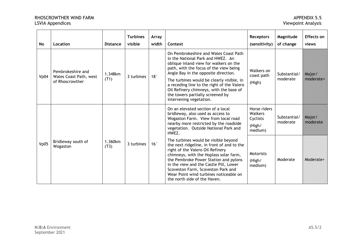| <b>No</b> | Location                                                              | <b>Distance</b> | <b>Turbines</b><br>visible | Array<br>width | Context                                                                                                                                                                                                                                                                                                                                                                                                     | <b>Receptors</b><br>(sensitivity)                               | Magnitude<br>of change   | Effects on<br>views |
|-----------|-----------------------------------------------------------------------|-----------------|----------------------------|----------------|-------------------------------------------------------------------------------------------------------------------------------------------------------------------------------------------------------------------------------------------------------------------------------------------------------------------------------------------------------------------------------------------------------------|-----------------------------------------------------------------|--------------------------|---------------------|
| Vp04      | Pembrokeshire and<br><b>Wales Coast Path, west</b><br>of Rhoscrowther | 1.348km<br>(T1) | 3 turbines                 | 18°            | On Pembrokeshire and Wales Coast Path<br>in the National Park and HWEZ. An<br>oblique inland view for walkers on the<br>path, with the focus of the view being<br>Angle Bay in the opposite direction.<br>The turbines would be clearly visible, in<br>a receding line to the right of the Valero<br>Oil Refinery chimneys, with the base of<br>the towers partially screened by<br>intervening vegetation. | Walkers on<br>coast path<br>(High)                              | Substantial/<br>moderate | Major/<br>moderate+ |
|           |                                                                       |                 |                            |                | On an elevated section of a local<br>bridleway, also used as access to<br>Wogaston Farm. View from local road<br>nearby more restricted by the roadside<br>vegetation. Outside National Park and<br>HWEZ.                                                                                                                                                                                                   | Horse riders<br><b>Walkers</b><br>Cyclists<br>(High/<br>medium) | Substantial/<br>moderate | Major/<br>moderate  |
| Vp05      | Bridleway south of<br>Wogaston                                        | 1.360km<br>(T3) | 3 turbines                 | 16°            | The turbines would be visible beyond<br>the next ridgeline, in front of and to the<br>right of the Valero Oil Refinery<br>chimneys, with the Hoplass solar farm,<br>the Pembroke Power Station and pylons<br>in the view and the Castle Pill, Lower<br>Scoveston Farm, Scoveston Park and<br>Wear Point wind turbines noticeable on<br>the north side of the Haven.                                         | <b>Motorists</b><br>(High/<br>medium)                           | Moderate                 | Moderate+           |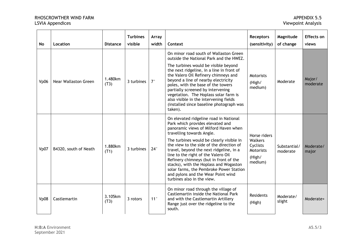| <b>No</b> | Location              | <b>Distance</b> | <b>Turbines</b><br>visible | Array<br>width | Context                                                                                                                                                                                                                                                                                                                                                                                                                                                                                                                       | <b>Receptors</b><br>(sensitivity)                                            | Magnitude<br>of change   | <b>Effects on</b><br>views |
|-----------|-----------------------|-----------------|----------------------------|----------------|-------------------------------------------------------------------------------------------------------------------------------------------------------------------------------------------------------------------------------------------------------------------------------------------------------------------------------------------------------------------------------------------------------------------------------------------------------------------------------------------------------------------------------|------------------------------------------------------------------------------|--------------------------|----------------------------|
| Vp06      | Near Wallaston Green  | 1.480km<br>(T3) | 3 turbines                 | $7^{\circ}$    | On minor road south of Wallaston Green<br>outside the National Park and the HWEZ.<br>The turbines would be visible beyond<br>the next ridgeline, in a line in front of<br>the Valero Oil Refinery chimneys and<br>beyond a line of nearby electricity<br>poles, with the base of the towers<br>partially screened by intervening<br>vegetation. The Hoplass solar farm is<br>also visible in the intervening fields<br>(installed since baseline photograph was<br>taken).                                                    | Motorists<br>(High/<br>medium)                                               | Moderate                 | Major/<br>moderate         |
| Vp07      | B4320, south of Neath | 1.880km<br>(T1) | 3 turbines                 | $24^\circ$     | On elevated ridgeline road in National<br>Park which provides elevated and<br>panoramic views of Milford Haven when<br>travelling towards Angle.<br>The turbines would be clearly visible in<br>the view to the side of the direction of<br>travel, beyond the next ridgeline, in a<br>line to the right of the Valero Oil<br>Refinery chimneys (but in front of the<br>stacks), with the Hoplass and Wogaston<br>solar farms, the Pembroke Power Station<br>and pylons and the Wear Point wind<br>turbines also in the view. | Horse riders<br>Walkers<br>Cyclists<br><b>Motorists</b><br>(High/<br>medium) | Substantial/<br>moderate | Moderate/<br>major         |
| Vp08      | Castlemartin          | 3.105km<br>(T3) | 3 rotors                   | 11°            | On minor road through the village of<br>Castlemartin inside the National Park<br>and with the Castlemartin Artillery<br>Range just over the ridgeline to the<br>south.                                                                                                                                                                                                                                                                                                                                                        | <b>Residents</b><br>(High)                                                   | Moderate/<br>slight      | Moderate+                  |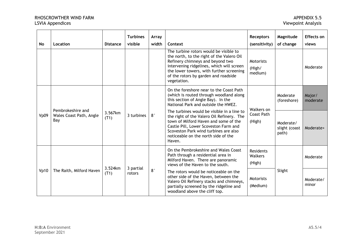| <b>No</b> | Location                                            | <b>Distance</b>                        | <b>Turbines</b><br>visible | Array<br>width                                                                                                                                                                                                                                                      | Context                                                                                                                                                                                                                                                                 | <b>Receptors</b><br>(sensitivity)     | Magnitude<br>of change  | <b>Effects on</b><br>views |
|-----------|-----------------------------------------------------|----------------------------------------|----------------------------|---------------------------------------------------------------------------------------------------------------------------------------------------------------------------------------------------------------------------------------------------------------------|-------------------------------------------------------------------------------------------------------------------------------------------------------------------------------------------------------------------------------------------------------------------------|---------------------------------------|-------------------------|----------------------------|
|           |                                                     |                                        |                            |                                                                                                                                                                                                                                                                     | The turbine rotors would be visible to<br>the north, to the right of the Valero Oil<br>Refinery chimneys and beyond two<br>intervening ridgelines, which will screen<br>the lower towers, with further screening<br>of the rotors by garden and roadside<br>vegetation. | <b>Motorists</b><br>(High/<br>medium) |                         | Moderate                   |
|           |                                                     |                                        |                            |                                                                                                                                                                                                                                                                     | On the foreshore near to the Coast Path<br>(which is routed through woodland along<br>this section of Angle Bay). In the<br>National Park and outside the HWEZ.                                                                                                         | Walkers on                            | Moderate<br>(foreshore) | Major/<br>moderate         |
| Vp09      | Pembrokeshire and<br>Wales Coast Path, Angle<br>Bay | 3.567km<br>3 turbines<br>(T1)          | $8^{\circ}$                | The turbines would be visible in a line to<br>the right of the Valero Oil Refinery. The<br>town of Milford Haven and some of the<br>Castle Pill, Lower Scoveston Farm and<br>Scoveston Park wind turbines are also<br>noticeable on the north side of the<br>Haven. | <b>Coast Path</b><br>(High)                                                                                                                                                                                                                                             | Moderate/<br>slight (coast<br>path)   | Moderate+               |                            |
|           |                                                     |                                        |                            |                                                                                                                                                                                                                                                                     | On the Pembrokeshire and Wales Coast<br>Path through a residential area in<br>Milford Haven. There are panoramic<br>views of the Haven to the south.                                                                                                                    | Residents<br>Walkers<br>(High)        |                         | Moderate                   |
| Vp10      | The Raith, Milford Haven                            | 3.524km<br>3 partial<br>(T1)<br>rotors | $8^{\circ}$                | The rotors would be noticeable on the<br>other side of the Haven, between the<br>Valero Oil Refinery stacks and chimneys,<br>partially screened by the ridgeline and<br>woodland above the cliff top.                                                               | <b>Motorists</b><br>(Medium)                                                                                                                                                                                                                                            | Slight                                | Moderate/<br>minor      |                            |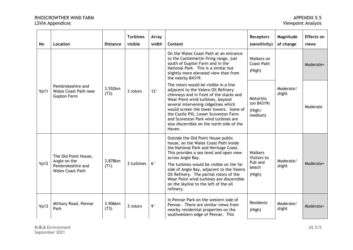| <b>No</b> | Location                                                                             | <b>Distance</b> | <b>Turbines</b><br>visible | Array<br>width | Context                                                                                                                                                                                                                                                                                                                                                                                                                    | <b>Receptors</b><br>(sensitivity)                           | Magnitude<br>of change | Effects on<br>views |
|-----------|--------------------------------------------------------------------------------------|-----------------|----------------------------|----------------|----------------------------------------------------------------------------------------------------------------------------------------------------------------------------------------------------------------------------------------------------------------------------------------------------------------------------------------------------------------------------------------------------------------------------|-------------------------------------------------------------|------------------------|---------------------|
|           |                                                                                      |                 |                            |                | On the Wales Coast Path at an entrance<br>to the Castlemartin firing range, just<br>south of Gupton Farm and in the<br>National Park. This is a similar but<br>slightly more elevated view than from<br>the nearby B4319.                                                                                                                                                                                                  | Walkers on<br><b>Coast Path</b><br>(High)                   |                        | Moderate+           |
| Vp11      | Pembrokeshire and<br><b>Wales Coast Path near</b><br><b>Gupton Farm</b>              | 3.552km<br>(T3) | 3 rotors                   | 12°            | The rotors would be visible in a line<br>adjacent to the Valero Oil Refinery<br>chimneys and in front of the stacks and<br>Wear Point wind turbines, beyond<br>several intervening ridgelines which<br>would screen the lower towers. Some of<br>the Castle Pill, Lower Scoveston Farm<br>and Scoveston Park wind turbines are<br>also discernible on the north side of the<br>Haven.                                      | <b>Motorists</b><br>(on $B4319$ )<br>(High/<br>medium)      | Moderate/<br>slight    | Moderate            |
| Vp12      | The Old Point House,<br>Angle on the<br>Pembrokeshire and<br><b>Wales Coast Path</b> | 3.878km<br>(T1) | 3 turbines                 | $6^{\circ}$    | Outside the Old Point House public<br>house, on the Wales Coast Path inside<br>the National Park and Heritage Coast.<br>This provides a sea level and open view<br>across Angle Bay.<br>The turbines would be visible on the far<br>side of Angle Bay, adjacent to the Valero<br>Oil Refinery. The partial rotors of the<br>Wear Point wind turbines are discernible<br>on the skyline to the left of the oil<br>refinery. | <b>Walkers</b><br>Visitors to<br>Pub and<br>beach<br>(High) | Moderate/<br>slight    | Moderate+           |
| Vp13      | Military Road, Pennar<br>Park                                                        | 3.906km<br>(T3) | 3 rotors                   | $9^{\circ}$    | In Pennar Park on the western side of<br>Pennar. There are similar views from<br>nearby residential properties on the<br>southwestern edge of Pennar. This                                                                                                                                                                                                                                                                 | Residents<br>(High)                                         | Moderate/<br>slight    | Moderate+           |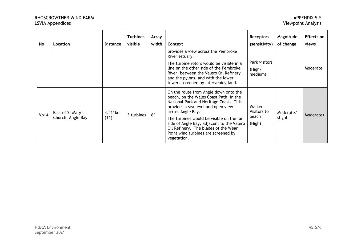| No   | Location                               | <b>Distance</b> | <b>Turbines</b><br>visible | Array<br>width | Context                                                                                                                                                                                                                                                                                                                                                                     | <b>Receptors</b><br>(sensitivity)                | Magnitude<br>of change | Effects on<br>views |
|------|----------------------------------------|-----------------|----------------------------|----------------|-----------------------------------------------------------------------------------------------------------------------------------------------------------------------------------------------------------------------------------------------------------------------------------------------------------------------------------------------------------------------------|--------------------------------------------------|------------------------|---------------------|
|      |                                        |                 |                            |                | provides a view across the Pembroke<br>River estuary.<br>The turbine rotors would be visible in a<br>line on the other side of the Pembroke<br>River, between the Valero Oil Refinery<br>and the pylons, and with the lower<br>towers screened by intervening land.                                                                                                         | Park visitors<br>(High/<br>medium)               |                        | Moderate            |
| Vp14 | East of St Mary's<br>Church, Angle Bay | 4.411km<br>(T1) | 3 turbines                 | $6^{\circ}$    | On the route from Angle down onto the<br>beach, on the Wales Coast Path, in the<br>National Park and Heritage Coast. This<br>provides a sea level and open view<br>across Angle Bay.<br>The turbines would be visible on the far<br>side of Angle Bay, adjacent to the Valero<br>Oil Refinery. The blades of the Wear<br>Point wind turbines are screened by<br>vegetation. | <b>Walkers</b><br>Visitors to<br>beach<br>(High) | Moderate/<br>slight    | Moderate+           |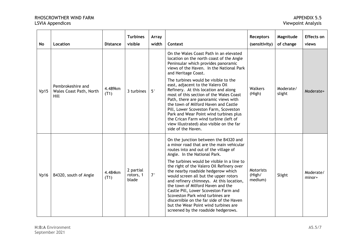| <b>No</b> | Location                                             | <b>Distance</b> | <b>Turbines</b><br>visible      | Array<br>width | Context                                                                                                                                                                                                                                                                                                                                                                                                                                                                                                                                                                                                                       | <b>Receptors</b><br>(sensitivity) | Magnitude<br>of change | <b>Effects on</b><br>views |
|-----------|------------------------------------------------------|-----------------|---------------------------------|----------------|-------------------------------------------------------------------------------------------------------------------------------------------------------------------------------------------------------------------------------------------------------------------------------------------------------------------------------------------------------------------------------------------------------------------------------------------------------------------------------------------------------------------------------------------------------------------------------------------------------------------------------|-----------------------------------|------------------------|----------------------------|
|           |                                                      |                 |                                 |                | On the Wales Coast Path in an elevated<br>location on the north coast of the Angle<br>Peninsular which provides panoramic<br>views of the Haven. In the National Park<br>and Heritage Coast.                                                                                                                                                                                                                                                                                                                                                                                                                                  |                                   |                        |                            |
| Vp15      | Pembrokeshire and<br>Wales Coast Path, North<br>Hill | 4.489km<br>(T1) | 3 turbines                      | $5^{\circ}$    | The turbines would be visible to the<br>east, adjacent to the Valero Oil<br>Refinery. At this location and along<br>most of this section of the Wales Coast<br>Path, there are panoramic views with<br>the town of Milford Haven and Castle<br>Pill, Lower Scoveston Farm, Scoveston<br>Park and Wear Point wind turbines plus<br>the Crican Farm wind turbine (left of<br>view illustrated) also visible on the far<br>side of the Haven.                                                                                                                                                                                    | Walkers<br>(High)                 | Moderate/<br>slight    | Moderate+                  |
| Vp16      | B4320, south of Angle                                | 4.484km<br>(T1) | 2 partial<br>rotors, 1<br>blade | $7^{\circ}$    | On the junction between the B4320 and<br>a minor road that are the main vehicular<br>routes into and out of the village of<br>Angle. In the National Park.<br>The turbines would be visible in a line to<br>the right of the Valero Oil Refinery over<br>the nearby roadside hedgerow which<br>would screen all but the upper rotors<br>and refinery chimneys. At this location,<br>the town of Milford Haven and the<br>Castle Pill, Lower Scoveston Farm and<br>Scoveston Park wind turbines are<br>discernible on the far side of the Haven<br>but the Wear Point wind turbines are<br>screened by the roadside hedgerows. | Motorists<br>(High/<br>medium)    | Slight                 | Moderate/<br>minor+        |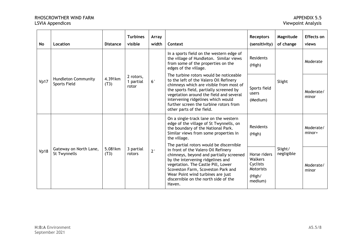| No   | Location                                   | <b>Distance</b>           | <b>Turbines</b><br>visible      | Array<br>width | Context                                                                                                                                                                                                                                                                                                                           | <b>Receptors</b><br>(sensitivity)                                            | Magnitude<br>of change | <b>Effects on</b><br>views |
|------|--------------------------------------------|---------------------------|---------------------------------|----------------|-----------------------------------------------------------------------------------------------------------------------------------------------------------------------------------------------------------------------------------------------------------------------------------------------------------------------------------|------------------------------------------------------------------------------|------------------------|----------------------------|
|      |                                            |                           |                                 |                | In a sports field on the western edge of<br>the village of Hundleton. Similar views<br>from some of the properties on the<br>edges of the village.                                                                                                                                                                                | Residents<br>(High)                                                          |                        | Moderate                   |
| Vp17 | <b>Hundleton Community</b><br>Sports Field | 4.391km<br>(T3)           | 2 rotors,<br>1 partial<br>rotor | $6^{\circ}$    | The turbine rotors would be noticeable<br>to the left of the Valero Oil Refinery<br>chimneys which are visible from most of<br>the sports field, partially screened by<br>vegetation around the field and several<br>intervening ridgelines which would<br>further screen the turbine rotors from<br>other parts of the field.    | Sports field<br>users<br>(Medium)                                            | Slight                 | Moderate/<br>minor         |
| Vp18 | Gateway on North Lane,<br>St Twynnells     | 5.081km<br>(T3)<br>rotors |                                 |                | On a single-track lane on the western<br>edge of the village of St Twynnells, on<br>the boundary of the National Park.<br>Similar views from some properties in<br>the village.                                                                                                                                                   | <b>Residents</b><br>(High)                                                   |                        | Moderate/<br>$minor+$      |
|      |                                            |                           | 3 partial                       | $2^{\circ}$    | The partial rotors would be discernible<br>in front of the Valero Oil Refinery<br>chimneys, beyond and partially screened<br>by the intervening ridgelines and<br>vegetation. The Castle Pill, Lower<br>Scoveston Farm, Scoveston Park and<br>Wear Point wind turbines are just<br>discernible on the north side of the<br>Haven. | Horse riders<br>Walkers<br>Cyclists<br><b>Motorists</b><br>(High/<br>medium) | Slight/<br>negligible  | Moderate/<br>minor         |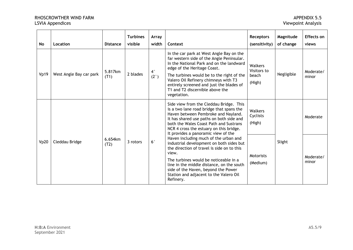| <b>No</b> | Location                | <b>Distance</b> | <b>Turbines</b><br>visible | Array<br>width                 | Context                                                                                                                                                                                                                                                                                                                                             | <b>Receptors</b><br>(sensitivity)         | Magnitude<br>of change | Effects on<br>views |
|-----------|-------------------------|-----------------|----------------------------|--------------------------------|-----------------------------------------------------------------------------------------------------------------------------------------------------------------------------------------------------------------------------------------------------------------------------------------------------------------------------------------------------|-------------------------------------------|------------------------|---------------------|
| Vp19      | West Angle Bay car park | 5.817km<br>(T1) | 2 blades                   | $4^\circ$<br>(2 <sup>°</sup> ) | In the car park at West Angle Bay on the<br>far western side of the Angle Peninsular.<br>In the National Park and on the landward<br>edge of the Heritage Coast.<br>The turbines would be to the right of the<br>Valero Oil Refinery chimneys with T3<br>entirely screened and just the blades of<br>T1 and T2 discernible above the<br>vegetation. | Walkers<br>Visitors to<br>beach<br>(High) | Negligible             | Moderate/<br>minor  |
| Vp20      | Cleddau Bridge          |                 |                            |                                | Side view from the Cleddau Bridge. This<br>is a two lane road bridge that spans the<br>Haven between Pembroke and Nayland.<br>It has shared use paths on both side and<br>both the Wales Coast Path and Sustrans<br>NCR 4 cross the estuary on this bridge.<br>It provides a panoramic view of the                                                  | Walkers<br>Cyclists<br>(High)             | Slight                 | Moderate            |
|           |                         | 6.654km<br>(T2) | 3 rotors                   | $6^{\circ}$                    | Haven including much of the urban and<br>industrial development on both sides but<br>the direction of travel is side on to this<br>view.<br>The turbines would be noticeable in a<br>line in the middle distance, on the south<br>side of the Haven, beyond the Power<br>Station and adjacent to the Valero Oil<br>Refinery.                        | <b>Motorists</b><br>(Medium)              |                        | Moderate/<br>minor  |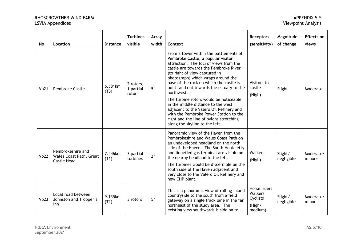| <b>No</b> | Location                                                           | <b>Distance</b> | <b>Turbines</b><br>visible      | Array<br>width | Context                                                                                                                                                                                                                                                                                                                                                                                                                                                                                                                                                      | <b>Receptors</b><br>(sensitivity)                        | Magnitude<br>of change | Effects on<br>views   |
|-----------|--------------------------------------------------------------------|-----------------|---------------------------------|----------------|--------------------------------------------------------------------------------------------------------------------------------------------------------------------------------------------------------------------------------------------------------------------------------------------------------------------------------------------------------------------------------------------------------------------------------------------------------------------------------------------------------------------------------------------------------------|----------------------------------------------------------|------------------------|-----------------------|
| Vp21      | <b>Pembroke Castle</b>                                             | 6.581km<br>(T3) | 2 rotors,<br>1 partial<br>rotor | $5^{\circ}$    | From a tower within the battlements of<br>Pembroke Castle, a popular visitor<br>attraction. The foci of views from the<br>castle are towards the Pembroke River<br>(to right of view captured in<br>photograph) which wraps around the<br>base of the rock on which the castle is<br>built, and out towards the estuary to the<br>northwest.<br>The turbine rotors would be noticeable<br>in the middle distance to the west<br>adjacent to the Valero Oil Refinery and<br>with the Pembroke Power Station to the<br>right and the line of pylons stretching | Visitors to<br>castle<br>(High)                          | Slight                 | Moderate              |
|           |                                                                    |                 |                                 |                | along the skyline to the left.<br>Panoramic view of the Haven from the<br>Pembrokeshire and Wales Coast Path on                                                                                                                                                                                                                                                                                                                                                                                                                                              |                                                          |                        |                       |
| Vp22      | Pembrokeshire and<br>Wales Coast Path, Great<br><b>Castle Head</b> | 7.446km<br>(T1) | 3 partial<br>turbines           | $2^{\circ}$    | an undeveloped headland on the north<br>side of the Haven. The South Hook jetty<br>and liquefied gas terminal are visible on<br>the nearby headland to the left.                                                                                                                                                                                                                                                                                                                                                                                             | Walkers<br>(High)                                        | Slight/<br>negligible  | Moderate/<br>$minor+$ |
|           |                                                                    |                 |                                 |                | The turbines would be discernible on the<br>south side of the Haven adjacent and<br>very close to the Valero Oil Refinery and<br>new CHP plant.                                                                                                                                                                                                                                                                                                                                                                                                              |                                                          |                        |                       |
| Vp23      | Local road between<br>Johnston and Trooper's<br>Inn                | 9.135km<br>(T1) | 3 rotors                        | $5^{\circ}$    | This is a panoramic view of rolling inland<br>countryside to the south from a field<br>gateway on a single track lane in the far<br>northeast of the study area. The<br>existing view southwards is side on to                                                                                                                                                                                                                                                                                                                                               | Horse riders<br>Walkers<br>Cyclists<br>(High/<br>medium) | Slight/<br>negligible  | Moderate/<br>minor    |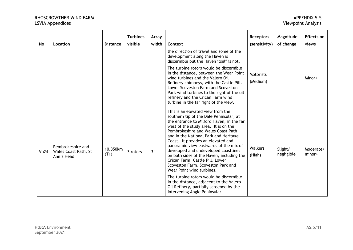| <b>No</b> | Location                                                | <b>Distance</b>  | <b>Turbines</b><br>visible | Array<br>width | Context                                                                                                                                                                                                                                                                                                                                                                                                                                                                                                                                                                                                                                                                                       | <b>Receptors</b><br>(sensitivity) | Magnitude<br>of change | <b>Effects on</b><br>views |
|-----------|---------------------------------------------------------|------------------|----------------------------|----------------|-----------------------------------------------------------------------------------------------------------------------------------------------------------------------------------------------------------------------------------------------------------------------------------------------------------------------------------------------------------------------------------------------------------------------------------------------------------------------------------------------------------------------------------------------------------------------------------------------------------------------------------------------------------------------------------------------|-----------------------------------|------------------------|----------------------------|
|           |                                                         |                  |                            |                | the direction of travel and some of the<br>development along the Haven is<br>discernible but the Haven itself is not.                                                                                                                                                                                                                                                                                                                                                                                                                                                                                                                                                                         |                                   |                        |                            |
|           |                                                         |                  |                            |                | The turbine rotors would be discernible<br>in the distance, between the Wear Point<br>wind turbines and the Valero Oil<br>Refinery chimneys, with the Castle Pill.<br>Lower Scoveston Farm and Scoveston<br>Park wind turbines to the right of the oil<br>refinery and the Crican Farm wind<br>turbine in the far right of the view.                                                                                                                                                                                                                                                                                                                                                          | <b>Motorists</b><br>(Medium)      |                        | Minor+                     |
| Vp24      | Pembrokeshire and<br>Wales Coast Path, St<br>Ann's Head | 10.350km<br>(T1) | 3 rotors                   | 3 <sup>°</sup> | This is an elevated view from the<br>southern tip of the Dale Peninsular, at<br>the entrance to Milford Haven, in the far<br>west of the study area. It is on the<br>Pembrokeshire and Wales Coast Path<br>and in the National Park and Heritage<br>Coast. It provides an elevated and<br>panoramic view eastwards of the mix of<br>developed and undeveloped coastlines<br>on both sides of the Haven, including the<br>Crican Farm, Castle Pill, Lower<br>Scoveston Farm, Scoveston Park and<br>Wear Point wind turbines.<br>The turbine rotors would be discernible<br>in the distance, adjacent to the Valero<br>Oil Refinery, partially screened by the<br>intervening Angle Peninsular. | Walkers<br>(High)                 | Slight/<br>negligible  | Moderate/<br>minor+        |